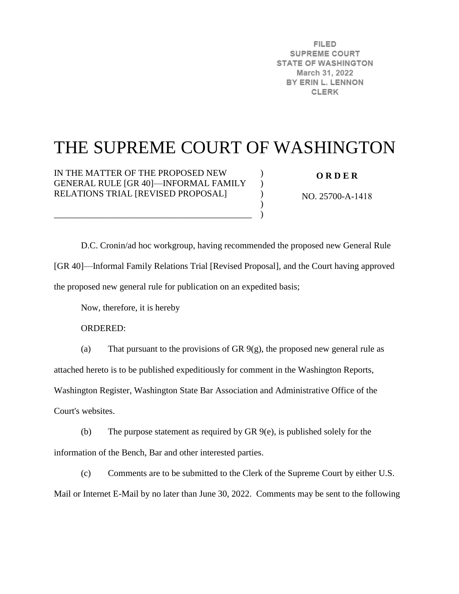**FILED SUPREME COURT STATE OF WASHINGTON** March 31, 2022 BY ERIN L. LENNON **CLERK** 

# THE SUPREME COURT OF WASHINGTON

 $\lambda$  $\lambda$  $\mathcal{L}$  $\mathcal{L}$  $\lambda$ 

IN THE MATTER OF THE PROPOSED NEW GENERAL RULE [GR 40]—INFORMAL FAMILY RELATIONS TRIAL [REVISED PROPOSAL]

\_\_\_\_\_\_\_\_\_\_\_\_\_\_\_\_\_\_\_\_\_\_\_\_\_\_\_\_\_\_\_\_\_\_\_\_\_\_\_\_\_\_\_\_

**O R D E R** 

NO. 25700-A-1418

D.C. Cronin/ad hoc workgroup, having recommended the proposed new General Rule [GR 40]—Informal Family Relations Trial [Revised Proposal], and the Court having approved the proposed new general rule for publication on an expedited basis;

Now, therefore, it is hereby

ORDERED:

(a) That pursuant to the provisions of GR  $9(g)$ , the proposed new general rule as attached hereto is to be published expeditiously for comment in the Washington Reports,

Washington Register, Washington State Bar Association and Administrative Office of the

Court's websites.

(b) The purpose statement as required by GR 9(e), is published solely for the information of the Bench, Bar and other interested parties.

(c) Comments are to be submitted to the Clerk of the Supreme Court by either U.S. Mail or Internet E-Mail by no later than June 30, 2022. Comments may be sent to the following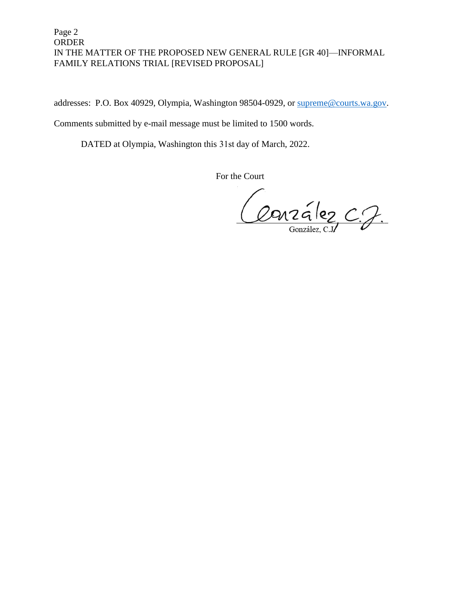### Page 2 ORDER IN THE MATTER OF THE PROPOSED NEW GENERAL RULE [GR 40]—INFORMAL FAMILY RELATIONS TRIAL [REVISED PROPOSAL]

addresses: P.O. Box 40929, Olympia, Washington 98504-0929, or [supreme@courts.wa.gov.](mailto:supreme@courts.wa.gov)

Comments submitted by e-mail message must be limited to 1500 words.

DATED at Olympia, Washington this 31st day of March, 2022.

For the Court

Conzélez C.J.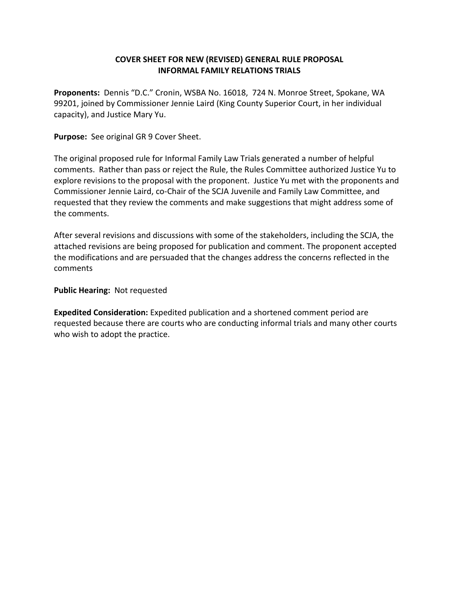### **COVER SHEET FOR NEW (REVISED) GENERAL RULE PROPOSAL INFORMAL FAMILY RELATIONS TRIALS**

**Proponents:** Dennis "D.C." Cronin, WSBA No. 16018, 724 N. Monroe Street, Spokane, WA 99201, joined by Commissioner Jennie Laird (King County Superior Court, in her individual capacity), and Justice Mary Yu.

**Purpose:** See original GR 9 Cover Sheet.

The original proposed rule for Informal Family Law Trials generated a number of helpful comments. Rather than pass or reject the Rule, the Rules Committee authorized Justice Yu to explore revisions to the proposal with the proponent. Justice Yu met with the proponents and Commissioner Jennie Laird, co-Chair of the SCJA Juvenile and Family Law Committee, and requested that they review the comments and make suggestions that might address some of the comments.

After several revisions and discussions with some of the stakeholders, including the SCJA, the attached revisions are being proposed for publication and comment. The proponent accepted the modifications and are persuaded that the changes address the concerns reflected in the comments

#### **Public Hearing:** Not requested

**Expedited Consideration:** Expedited publication and a shortened comment period are requested because there are courts who are conducting informal trials and many other courts who wish to adopt the practice.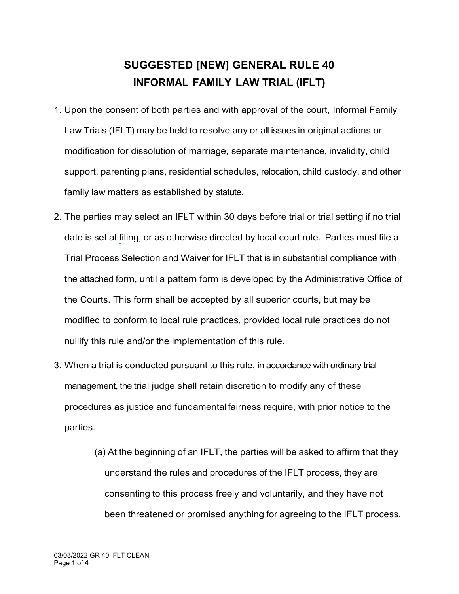## **SUGGESTED [NEW] GENERAL RULE 40 INFORMAL FAMILY LAW TRIAL (IFLT)**

- 1. Upon the consent of both parties and with approval of the court, Informal Family Law Trials (IFLT) may be held to resolve any or all issues in original actions or modification for dissolution of marriage, separate maintenance, invalidity, child support, parenting plans, residential schedules, relocation, child custody, and other family law matters as established by statute.
- 2. The parties may select an IFLT within 30 days before trial or trial setting if no trial date is set at filing, or as otherwise directed by local court rule. Parties must file a Trial Process Selection and Waiver for IFLT that is in substantial compliance with the attached form, until a pattern form is developed by the Administrative Office of the Courts. This form shall be accepted by all superior courts, but may be modified to conform to local rule practices, provided local rule practices do not nullify this rule and/or the implementation of this rule.
- 3. When a trial is conducted pursuant to this rule, in accordance with ordinary trial management, the trial judge shall retain discretion to modify any of these procedures as justice and fundamental fairness require, with prior notice to the parties.
	- (a) At the beginning of an IFLT, the parties will be asked to affirm that they understand the rules and procedures of the IFLT process, they are consenting to this process freely and voluntarily, and they have not been threatened or promised anything for agreeing to the IFLT process.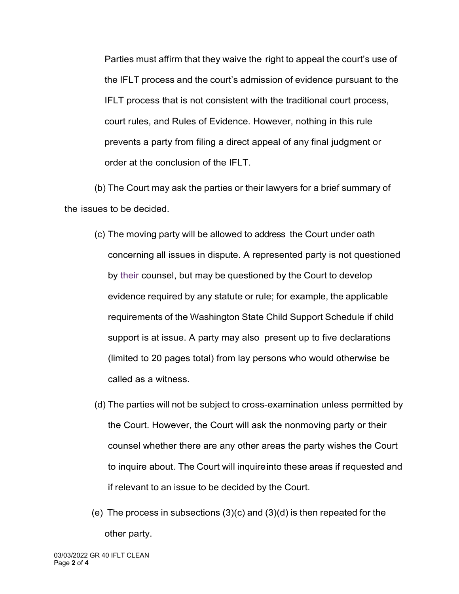Parties must affirm that they waive the right to appeal the court's use of the IFLT process and the court's admission of evidence pursuant to the IFLT process that is not consistent with the traditional court process, court rules, and Rules of Evidence. However, nothing in this rule prevents a party from filing a direct appeal of any final judgment or order at the conclusion of the IFLT.

(b) The Court may ask the parties or their lawyers for a brief summary of the issues to be decided.

- (c) The moving party will be allowed to address the Court under oath concerning all issues in dispute. A represented party is not questioned by their counsel, but may be questioned by the Court to develop evidence required by any statute or rule; for example, the applicable requirements of the Washington State Child Support Schedule if child support is at issue. A party may also present up to five declarations (limited to 20 pages total) from lay persons who would otherwise be called as a witness.
- (d) The parties will not be subject to cross-examination unless permitted by the Court. However, the Court will ask the nonmoving party or their counsel whether there are any other areas the party wishes the Court to inquire about. The Court will inquireinto these areas if requested and if relevant to an issue to be decided by the Court.
- (e) The process in subsections (3)(c) and (3)(d) is then repeated for the other party.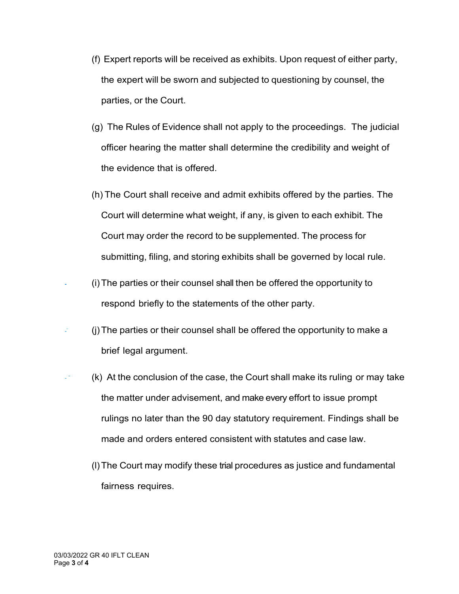- (f) Expert reports will be received as exhibits. Upon request of either party, the expert will be sworn and subjected to questioning by counsel, the parties, or the Court.
- (g) The Rules of Evidence shall not apply to the proceedings. The judicial officer hearing the matter shall determine the credibility and weight of the evidence that is offered.
- (h) The Court shall receive and admit exhibits offered by the parties. The Court will determine what weight, if any, is given to each exhibit. The Court may order the record to be supplemented. The process for submitting, filing, and storing exhibits shall be governed by local rule.
- (i)The parties or their counsel shall then be offered the opportunity to respond briefly to the statements of the other party.
- (j)The parties or their counsel shall be offered the opportunity to make a z brief legal argument.
- $\mathbb{R}^2$ (k) At the conclusion of the case, the Court shall make its ruling or may take the matter under advisement, and make every effort to issue prompt rulings no later than the 90 day statutory requirement. Findings shall be made and orders entered consistent with statutes and case law.
	- (l)The Court may modify these trial procedures as justice and fundamental fairness requires.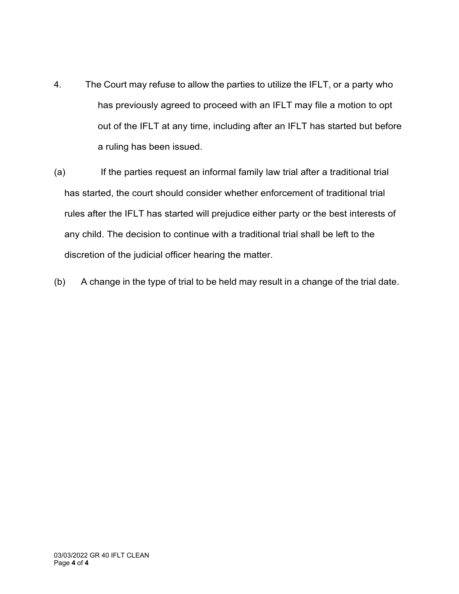- 4. The Court may refuse to allow the parties to utilize the IFLT, or a party who has previously agreed to proceed with an IFLT may file a motion to opt out of the IFLT at any time, including after an IFLT has started but before a ruling has been issued.
- (a) If the parties request an informal family law trial after a traditional trial has started, the court should consider whether enforcement of traditional trial rules after the IFLT has started will prejudice either party or the best interests of any child. The decision to continue with a traditional trial shall be left to the discretion of the judicial officer hearing the matter.
- (b) A change in the type of trial to be held may result in a change of the trial date.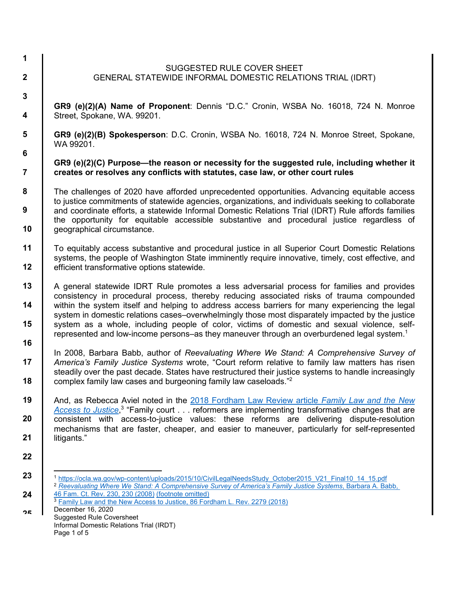December 16, 2020 Suggested Rule Coversheet Informal Domestic Relations Trial (IRDT) Page 1 of 5 **10 11 12 13 14 15 16 17 18 19 20 21 22 23 24** <u>ንድ</u> GENERAL STATEWIDE INFORMAL DOMESTIC RELATIONS TRIAL (IDRT) **GR9 (e)(2)(A) Name of Proponent**: Dennis "D.C." Cronin, WSBA No. 16018, 724 N. Monroe Street, Spokane, WA. 99201. **GR9 (e)(2)(B) Spokesperson**: D.C. Cronin, WSBA No. 16018, 724 N. Monroe Street, Spokane, WA 99201. **GR9 (e)(2)(C) Purpose—the reason or necessity for the suggested rule, including whether it creates or resolves any conflicts with statutes, case law, or other court rules**  The challenges of 2020 have afforded unprecedented opportunities. Advancing equitable access to justice commitments of statewide agencies, organizations, and individuals seeking to collaborate and coordinate efforts, a statewide Informal Domestic Relations Trial (IDRT) Rule affords families the opportunity for equitable accessible substantive and procedural justice regardless of geographical circumstance. To equitably access substantive and procedural justice in all Superior Court Domestic Relations systems, the people of Washington State imminently require innovative, timely, cost effective, and efficient transformative options statewide. A general statewide IDRT Rule promotes a less adversarial process for families and provides consistency in procedural process, thereby reducing associated risks of trauma compounded within the system itself and helping to address access barriers for many experiencing the legal system in domestic relations cases–overwhelmingly those most disparately impacted by the justice system as a whole, including people of color, victims of domestic and sexual violence, selfrepresented and low-income persons–as they maneuver through an overburdened legal system.<sup>1</sup> In 2008, Barbara Babb, author of *Reevaluating Where We Stand: A Comprehensive Survey of America's Family Justice Systems* wrote, "Court reform relative to family law matters has risen steadily over the past decade. States have restructured their justice systems to handle increasingly complex family law cases and burgeoning family law caseloads."<sup>2</sup> And, as Rebecca Aviel noted in the 2018 Fordham Law Review article *Family Law and the New*  Access to Justice,<sup>3</sup> "Family court . . . reformers are implementing transformative changes that are consistent with access-to-justice values: these reforms are delivering dispute-resolution mechanisms that are faster, cheaper, and easier to maneuver, particularly for self-represented litigants." -<sup>1</sup> https://ocla.wa.gov/wp-content/uploads/2015/10/CivilLegalNeedsStudy\_October2015\_V21\_Final10\_14\_15.pdf <sup>2</sup> *Reevaluating Where We Stand: A Comprehensive Survey of America's Family Justice Systems*, Barbara A. Babb, 46 Fam. Ct. Rev. 230, 230 (2008) (footnote omitted) <sup>3</sup> Family Law and the New Access to Justice, 86 Fordham L. Rev. 2279 (2018)

SUGGESTED RULE COVER SHEET

**1**

**2** 

**3** 

**4** 

**5** 

**6** 

**7** 

**8** 

**9**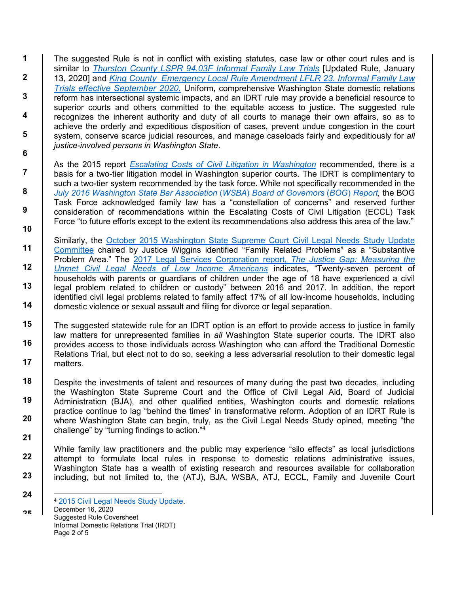**1 2 3 4 5 6**  The suggested Rule is not in conflict with existing statutes, case law or other court rules and is similar to *Thurston County LSPR 94.03F Informal Family Law Trials* [Updated Rule, January 13, 2020] and *King County Emergency Local Rule Amendment LFLR 23. Informal Family Law Trials effective September 2020*. Uniform, comprehensive Washington State domestic relations reform has intersectional systemic impacts, and an IDRT rule may provide a beneficial resource to superior courts and others committed to the equitable access to justice. The suggested rule recognizes the inherent authority and duty of all courts to manage their own affairs, so as to achieve the orderly and expeditious disposition of cases, prevent undue congestion in the court system, conserve scarce judicial resources, and manage caseloads fairly and expeditiously for *all justice-involved persons in Washington State*.

As the 2015 report *Escalating Costs of Civil Litigation in Washington* recommended, there is a basis for a two-tier litigation model in Washington superior courts. The IDRT is complimentary to such a two-tier system recommended by the task force. While not specifically recommended in the *July 2016 Washington State Bar Association* (*WSBA*) *Board of Governors* (*BOG*) *Report,* the BOG Task Force acknowledged family law has a "constellation of concerns" and reserved further consideration of recommendations within the Escalating Costs of Civil Litigation (ECCL) Task Force "to future efforts except to the extent its recommendations also address this area of the law."

- **11 12 13 14** Similarly, the October 2015 Washington State Supreme Court Civil Legal Needs Study Update Committee chaired by Justice Wiggins identified "Family Related Problems" as a "Substantive Problem Area." The 2017 Legal Services Corporation report, *The Justice Gap: Measuring the Unmet Civil Legal Needs of Low Income Americans* indicates, "Twenty-seven percent of households with parents or guardians of children under the age of 18 have experienced a civil legal problem related to children or custody" between 2016 and 2017. In addition, the report identified civil legal problems related to family affect 17% of all low-income households, including domestic violence or sexual assault and filing for divorce or legal separation.
- **15 16 17** The suggested statewide rule for an IDRT option is an effort to provide access to justice in family law matters for unrepresented families in *all* Washington State superior courts. The IDRT also provides access to those individuals across Washington who can afford the Traditional Domestic Relations Trial, but elect not to do so, seeking a less adversarial resolution to their domestic legal matters.
- **18 19 20 21** Despite the investments of talent and resources of many during the past two decades, including the Washington State Supreme Court and the Office of Civil Legal Aid, Board of Judicial Administration (BJA), and other qualified entities, Washington courts and domestic relations practice continue to lag "behind the times" in transformative reform. Adoption of an IDRT Rule is where Washington State can begin, truly, as the Civil Legal Needs Study opined, meeting "the challenge" by "turning findings to action."<sup>4</sup>

While family law practitioners and the public may experience "silo effects" as local jurisdictions attempt to formulate local rules in response to domestic relations administrative issues, Washington State has a wealth of existing research and resources available for collaboration including, but not limited to, the (ATJ), BJA, WSBA, ATJ, ECCL, Family and Juvenile Court

December 16, 2020 Suggested Rule Coversheet Informal Domestic Relations Trial (IRDT) Page 2 of 5

**7** 

**8** 

**9** 

**10**

**22**

**23**

**24**

<u>ንድ</u>

<sup>-</sup><sup>4</sup> 2015 Civil Legal Needs Study Update.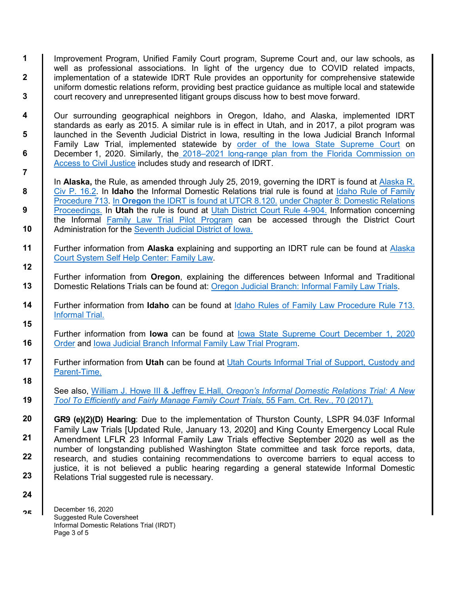**1 2 3**  Improvement Program, Unified Family Court program, Supreme Court and, our law schools, as well as professional associations. In light of the urgency due to COVID related impacts, implementation of a statewide IDRT Rule provides an opportunity for comprehensive statewide uniform domestic relations reform, providing best practice guidance as multiple local and statewide court recovery and unrepresented litigant groups discuss how to best move forward.

Our surrounding geographical neighbors in Oregon, Idaho, and Alaska, implemented IDRT standards as early as 2015. A similar rule is in effect in Utah, and in 2017, a pilot program was launched in the Seventh Judicial District in Iowa, resulting in the Iowa Judicial Branch Informal Family Law Trial, implemented statewide by order of the Iowa State Supreme Court on December 1, 2020. Similarly, the 2018–2021 long-range plan from the Florida Commission on Access to Civil Justice includes study and research of IDRT.

In **Alaska,** the Rule, as amended through July 25, 2019, governing the IDRT is found at Alaska R. Civ P. 16.2. In **Idaho** the Informal Domestic Relations trial rule is found at Idaho Rule of Family Procedure 713. In **Oregon** the IDRT is found at UTCR 8.120. under Chapter 8: Domestic Relations Proceedings. In **Utah** the rule is found at Utah District Court Rule 4-904. Information concerning the Informal Family Law Trial Pilot Program can be accessed through the District Court Administration for the Seventh Judicial District of Iowa.

- **11 12** Further information from **Alaska** explaining and supporting an IDRT rule can be found at Alaska Court System Self Help Center: Family Law.
	- Further information from **Oregon**, explaining the differences between Informal and Traditional Domestic Relations Trials can be found at: Oregon Judicial Branch: Informal Family Law Trials.
- **14 15** Further information from **Idaho** can be found at Idaho Rules of Family Law Procedure Rule 713. Informal Trial.
- **16** Further information from **Iowa** can be found at Iowa State Supreme Court December 1, 2020 Order and Iowa Judicial Branch Informal Family Law Trial Program.
- **17 18** Further information from **Utah** can be found at Utah Courts Informal Trial of Support, Custody and Parent-Time.

See also, William J. Howe III & Jeffrey E.Hall, *Oregon's Informal Domestic Relations Trial: A New Tool To Efficiently and Fairly Manage Family Court Trials*, 55 Fam. Crt. Rev., 70 (2017).

**20 21 22 23 GR9 (e)(2)(D) Hearing**: Due to the implementation of Thurston County, LSPR 94.03F Informal Family Law Trials [Updated Rule, January 13, 2020] and King County Emergency Local Rule Amendment LFLR 23 Informal Family Law Trials effective September 2020 as well as the number of longstanding published Washington State committee and task force reports, data, research, and studies containing recommendations to overcome barriers to equal access to justice, it is not believed a public hearing regarding a general statewide Informal Domestic Relations Trial suggested rule is necessary.

December 16, 2020 Suggested Rule Coversheet Informal Domestic Relations Trial (IRDT) Page 3 of 5

**4** 

**5** 

**6** 

**7** 

**8** 

**9** 

**10**

**13**

**19**

**24**

<u>ንድ</u>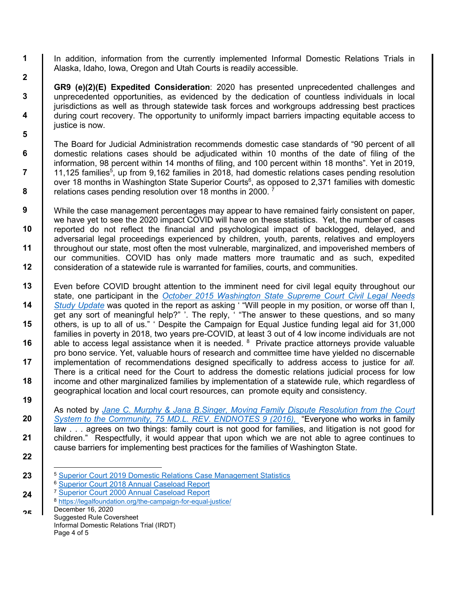In addition, information from the currently implemented Informal Domestic Relations Trials in Alaska, Idaho, Iowa, Oregon and Utah Courts is readily accessible.

**GR9 (e)(2)(E) Expedited Consideration**: 2020 has presented unprecedented challenges and unprecedented opportunities, as evidenced by the dedication of countless individuals in local jurisdictions as well as through statewide task forces and workgroups addressing best practices during court recovery. The opportunity to uniformly impact barriers impacting equitable access to justice is now.

The Board for Judicial Administration recommends domestic case standards of "90 percent of all domestic relations cases should be adjudicated within 10 months of the date of filing of the information, 98 percent within 14 months of filing, and 100 percent within 18 months". Yet in 2019, 11,125 families<sup>5</sup>, up from 9,162 families in 2018, had domestic relations cases pending resolution over 18 months in Washington State Superior Courts<sup>6</sup>, as opposed to 2,371 families with domestic relations cases pending resolution over 18 months in 2000. <sup>7</sup>

**12** While the case management percentages may appear to have remained fairly consistent on paper, we have yet to see the 2020 impact COVID will have on these statistics. Yet, the number of cases reported do not reflect the financial and psychological impact of backlogged, delayed, and adversarial legal proceedings experienced by children, youth, parents, relatives and employers throughout our state, most often the most vulnerable, marginalized, and impoverished members of our communities. COVID has only made matters more traumatic and as such, expedited consideration of a statewide rule is warranted for families, courts, and communities.

**13 14 15 16 17 18 19** Even before COVID brought attention to the imminent need for civil legal equity throughout our state, one participant in the *October 2015 Washington State Supreme Court Civil Legal Needs Study Update* was quoted in the report as asking ' "Will people in my position, or worse off than I, get any sort of meaningful help?" '. The reply, ' "The answer to these questions, and so many others, is up to all of us." ' Despite the Campaign for Equal Justice funding legal aid for 31,000 families in poverty in 2018, two years pre-COVID, at least 3 out of 4 low income individuals are not able to access legal assistance when it is needed.  $8$  Private practice attorneys provide valuable pro bono service. Yet, valuable hours of research and committee time have yielded no discernable implementation of recommendations designed specifically to address access to justice for *all.* There is a critical need for the Court to address the domestic relations judicial process for low income and other marginalized families by implementation of a statewide rule, which regardless of geographical location and local court resources, can promote equity and consistency.

As noted by *Jane C. Murphy & Jana B.Singer, Moving Family Dispute Resolution from the Court System to the Community, 75 MD.L. REV. ENDNOTES 9 (2016),* "Everyone who works in family law . . . agrees on two things: family court is not good for families, and litigation is not good for children." Respectfully, it would appear that upon which we are not able to agree continues to cause barriers for implementing best practices for the families of Washington State.

Suggested Rule Coversheet Informal Domestic Relations Trial (IRDT) Page 4 of 5

**20**

**21**

**22**

**23**

**24**

**1**

**2** 

 $\overline{a}$ <sup>5</sup> Superior Court 2019 Domestic Relations Case Management Statistics

<sup>6</sup> Superior Court 2018 Annual Caseload Report

<sup>7</sup> Superior Court 2000 Annual Caseload Report

<sup>8</sup> https://legalfoundation.org/the-campaign-for-equal-justice/

December 16, 2020 <u>ንድ</u>